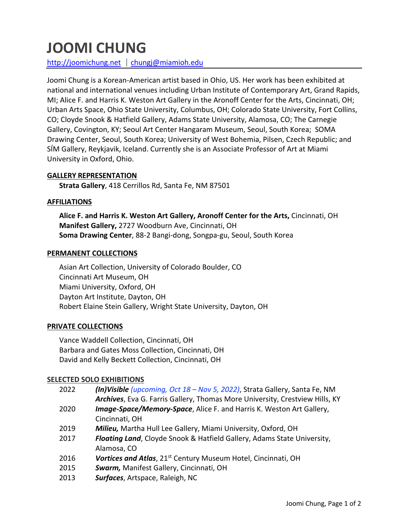# **JOOMI CHUNG**

http://joomichung.net | chungj@miamioh.edu

Joomi Chung is a Korean-American artist based in Ohio, US. Her work has been exhibited at national and international venues including Urban Institute of Contemporary Art, Grand Rapids, MI; Alice F. and Harris K. Weston Art Gallery in the Aronoff Center for the Arts, Cincinnati, OH; Urban Arts Space, Ohio State University, Columbus, OH; Colorado State University, Fort Collins, CO; Cloyde Snook & Hatfield Gallery, Adams State University, Alamosa, CO; The Carnegie Gallery, Covington, KY; Seoul Art Center Hangaram Museum, Seoul, South Korea; SOMA Drawing Center, Seoul, South Korea; University of West Bohemia, Pilsen, Czech Republic; and SÍM Gallery, Reykjavik, Iceland. Currently she is an Associate Professor of Art at Miami University in Oxford, Ohio.

#### **GALLERY REPRESENTATION**

**Strata Gallery**, 418 Cerrillos Rd, Santa Fe, NM 87501

#### **AFFILIATIONS**

**Alice F. and Harris K. Weston Art Gallery, Aronoff Center for the Arts,** Cincinnati, OH **Manifest Gallery,** 2727 Woodburn Ave, Cincinnati, OH **Soma Drawing Center**, 88-2 Bangi-dong, Songpa-gu, Seoul, South Korea

#### **PERMANENT COLLECTIONS**

Asian Art Collection, University of Colorado Boulder, CO Cincinnati Art Museum, OH Miami University, Oxford, OH Dayton Art Institute, Dayton, OH Robert Elaine Stein Gallery, Wright State University, Dayton, OH

## **PRIVATE COLLECTIONS**

Vance Waddell Collection, Cincinnati, OH Barbara and Gates Moss Collection, Cincinnati, OH David and Kelly Beckett Collection, Cincinnati, OH

## **SELECTED SOLO EXHIBITIONS**

| 2022 | (In)Visible (upcoming, Oct 18 - Nov 5, 2022), Strata Gallery, Santa Fe, NM   |
|------|------------------------------------------------------------------------------|
|      | Archives, Eva G. Farris Gallery, Thomas More University, Crestview Hills, KY |
| 2020 | Image-Space/Memory-Space, Alice F. and Harris K. Weston Art Gallery,         |
|      | Cincinnati, OH                                                               |
| 2019 | Milieu, Martha Hull Lee Gallery, Miami University, Oxford, OH                |
| 2017 | Floating Land, Cloyde Snook & Hatfield Gallery, Adams State University,      |
|      | Alamosa, CO                                                                  |
| 2016 | Vortices and Atlas, 21 <sup>st</sup> Century Museum Hotel, Cincinnati, OH    |
| 2015 | Swarm, Manifest Gallery, Cincinnati, OH                                      |
| 2013 | Surfaces, Artspace, Raleigh, NC                                              |